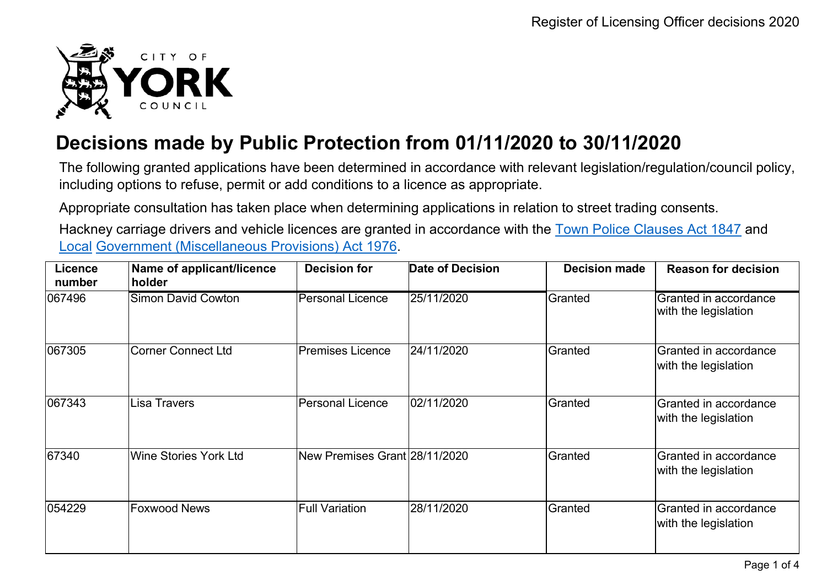

## **Decisions made by Public Protection from 01/11/2020 to 30/11/2020**

The following granted applications have been determined in accordance with relevant legislation/regulation/council policy, including options to refuse, permit or add conditions to a licence as appropriate.

Appropriate consultation has taken place when determining applications in relation to street trading consents.

Hackney carriage drivers and vehicle licences are granted in accordance with the Town Police [Clauses](http://www.legislation.gov.uk/ukpga/Vict/10-11/89) Act 1847 and [Local](http://www.legislation.gov.uk/ukpga/1976/57) [Government \(Miscellaneous Provisions\) Act 1976.](http://www.legislation.gov.uk/ukpga/1976/57)

| Licence<br>number | Name of applicant/licence<br>holder | <b>Decision for</b>           | <b>Date of Decision</b> | <b>Decision made</b> | <b>Reason for decision</b>                    |
|-------------------|-------------------------------------|-------------------------------|-------------------------|----------------------|-----------------------------------------------|
| 067496            | <b>Simon David Cowton</b>           | <b>Personal Licence</b>       | 25/11/2020              | Granted              | Granted in accordance<br>with the legislation |
| 067305            | Corner Connect Ltd                  | Premises Licence              | 24/11/2020              | Granted              | Granted in accordance<br>with the legislation |
| 067343            | lLisa Travers                       | <b>Personal Licence</b>       | 02/11/2020              | Granted              | Granted in accordance<br>with the legislation |
| 67340             | Wine Stories York Ltd               | New Premises Grant 28/11/2020 |                         | Granted              | Granted in accordance<br>with the legislation |
| 054229            | <b>Foxwood News</b>                 | Full Variation                | 28/11/2020              | Granted              | Granted in accordance<br>with the legislation |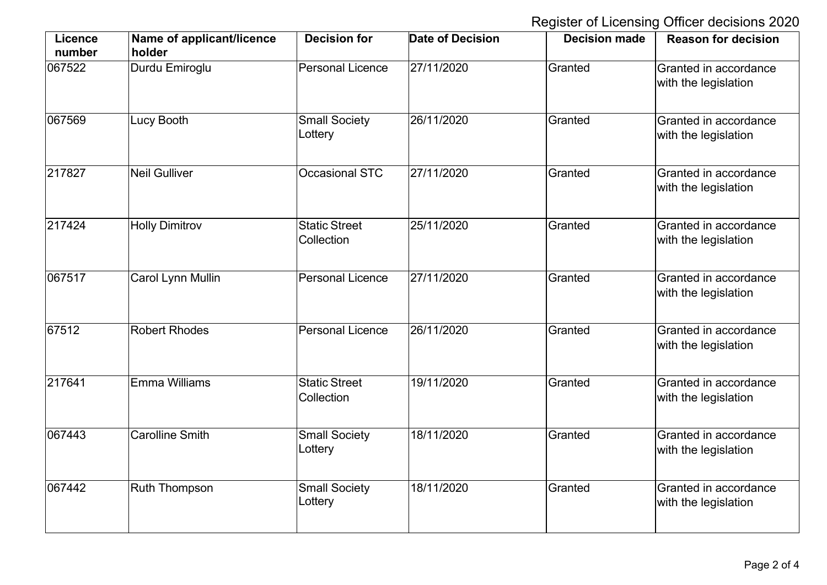Register of Licensing Officer decisions 2020

| <b>Licence</b><br>number | Name of applicant/licence<br>holder | <b>Decision for</b>                | <b>Date of Decision</b> | <b>Decision made</b> | <b>Reason for decision</b>                    |
|--------------------------|-------------------------------------|------------------------------------|-------------------------|----------------------|-----------------------------------------------|
| 067522                   | Durdu Emiroglu                      | <b>Personal Licence</b>            | 27/11/2020              | Granted              | Granted in accordance<br>with the legislation |
| 067569                   | Lucy Booth                          | <b>Small Society</b><br>Lottery    | 26/11/2020              | Granted              | Granted in accordance<br>with the legislation |
| 217827                   | <b>Neil Gulliver</b>                | <b>Occasional STC</b>              | 27/11/2020              | Granted              | Granted in accordance<br>with the legislation |
| 217424                   | <b>Holly Dimitrov</b>               | <b>Static Street</b><br>Collection | 25/11/2020              | Granted              | Granted in accordance<br>with the legislation |
| 067517                   | <b>Carol Lynn Mullin</b>            | <b>Personal Licence</b>            | 27/11/2020              | Granted              | Granted in accordance<br>with the legislation |
| 67512                    | <b>Robert Rhodes</b>                | <b>Personal Licence</b>            | 26/11/2020              | Granted              | Granted in accordance<br>with the legislation |
| 217641                   | <b>Emma Williams</b>                | <b>Static Street</b><br>Collection | 19/11/2020              | Granted              | Granted in accordance<br>with the legislation |
| 067443                   | <b>Carolline Smith</b>              | Small Society<br>Lottery           | 18/11/2020              | Granted              | Granted in accordance<br>with the legislation |
| 067442                   | <b>Ruth Thompson</b>                | <b>Small Society</b><br>Lottery    | 18/11/2020              | Granted              | Granted in accordance<br>with the legislation |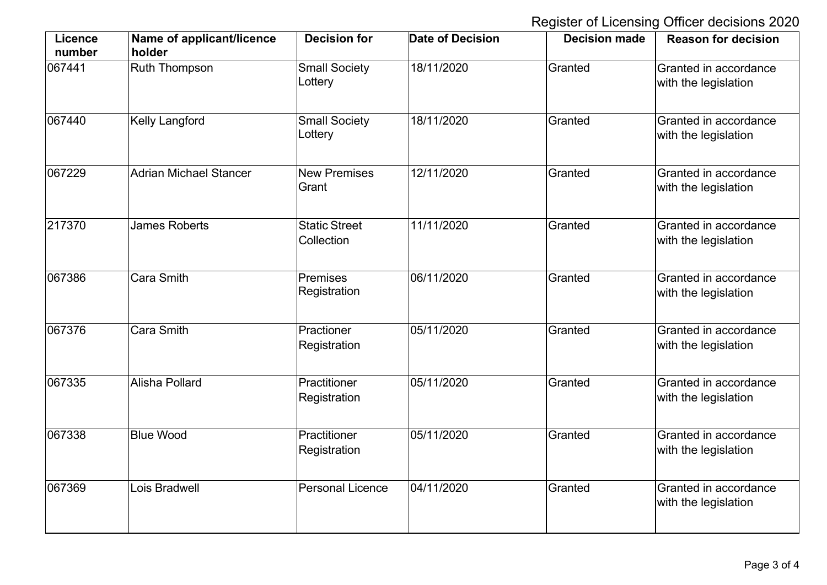Register of Licensing Officer decisions 2020

| Licence<br>number | Name of applicant/licence<br>holder | <b>Decision for</b>                | <b>Date of Decision</b> | <b>Decision made</b> | <b>Reason for decision</b>                    |
|-------------------|-------------------------------------|------------------------------------|-------------------------|----------------------|-----------------------------------------------|
| 067441            | Ruth Thompson                       | <b>Small Society</b><br>Lottery    | 18/11/2020              | Granted              | Granted in accordance<br>with the legislation |
| 067440            | <b>Kelly Langford</b>               | <b>Small Society</b><br>Lottery    | 18/11/2020              | Granted              | Granted in accordance<br>with the legislation |
| 067229            | Adrian Michael Stancer              | <b>New Premises</b><br>Grant       | 12/11/2020              | Granted              | Granted in accordance<br>with the legislation |
| 217370            | <b>James Roberts</b>                | <b>Static Street</b><br>Collection | 11/11/2020              | Granted              | Granted in accordance<br>with the legislation |
| 067386            | Cara Smith                          | Premises<br>Registration           | 06/11/2020              | Granted              | Granted in accordance<br>with the legislation |
| 067376            | Cara Smith                          | Practioner<br>Registration         | 05/11/2020              | Granted              | Granted in accordance<br>with the legislation |
| 067335            | Alisha Pollard                      | Practitioner<br>Registration       | 05/11/2020              | Granted              | Granted in accordance<br>with the legislation |
| 067338            | <b>Blue Wood</b>                    | Practitioner<br>Registration       | 05/11/2020              | Granted              | Granted in accordance<br>with the legislation |
| 067369            | Lois Bradwell                       | <b>Personal Licence</b>            | 04/11/2020              | Granted              | Granted in accordance<br>with the legislation |